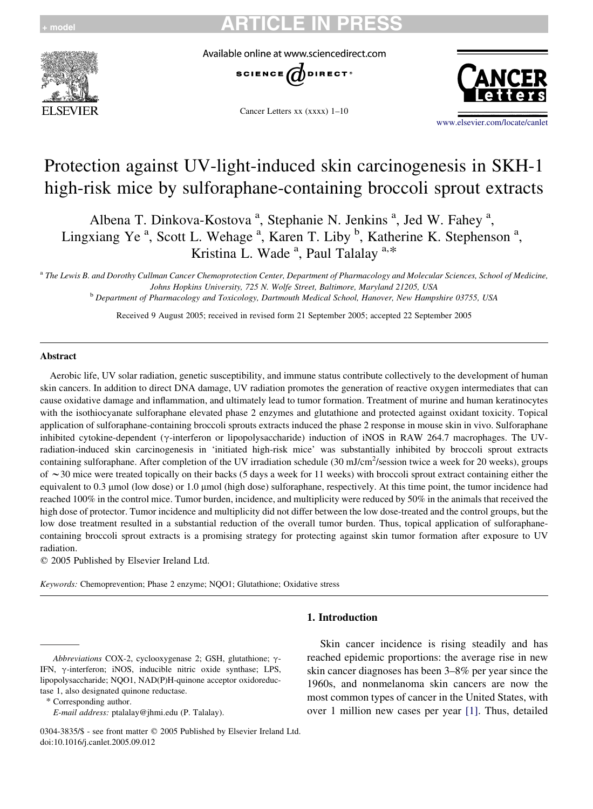

Available online at www.sciencedirect.com



Cancer Letters xx (xxxx) 1–10



[www.elsevier.com/locate/canlet](http://www.elsevier.com/locate/canlet)

# Protection against UV-light-induced skin carcinogenesis in SKH-1 high-risk mice by sulforaphane-containing broccoli sprout extracts

Albena T. Dinkova-Kostova<sup>a</sup>, Stephanie N. Jenkins<sup>a</sup>, Jed W. Fahey<sup>a</sup>, Lingxiang Ye<sup>a</sup>, Scott L. Wehage<sup>a</sup>, Karen T. Liby <sup>b</sup>, Katherine K. Stephenson<sup>a</sup>, Kristina L. Wade<sup>a</sup>, Paul Talalay<sup>a,\*</sup>

a The Lewis B. and Dorothy Cullman Cancer Chemoprotection Center, Department of Pharmacology and Molecular Sciences, School of Medicine, Johns Hopkins University, 725 N. Wolfe Street, Baltimore, Maryland 21205, USA

<sup>b</sup> Department of Pharmacology and Toxicology, Dartmouth Medical School, Hanover, New Hampshire 03755, USA

Received 9 August 2005; received in revised form 21 September 2005; accepted 22 September 2005

#### Abstract

Aerobic life, UV solar radiation, genetic susceptibility, and immune status contribute collectively to the development of human skin cancers. In addition to direct DNA damage, UV radiation promotes the generation of reactive oxygen intermediates that can cause oxidative damage and inflammation, and ultimately lead to tumor formation. Treatment of murine and human keratinocytes with the isothiocyanate sulforaphane elevated phase 2 enzymes and glutathione and protected against oxidant toxicity. Topical application of sulforaphane-containing broccoli sprouts extracts induced the phase 2 response in mouse skin in vivo. Sulforaphane inhibited cytokine-dependent ( $\gamma$ -interferon or lipopolysaccharide) induction of iNOS in RAW 264.7 macrophages. The UVradiation-induced skin carcinogenesis in 'initiated high-risk mice' was substantially inhibited by broccoli sprout extracts containing sulforaphane. After completion of the UV irradiation schedule (30 mJ/cm<sup>2</sup>/session twice a week for 20 weeks), groups of  $\sim$  30 mice were treated topically on their backs (5 days a week for 11 weeks) with broccoli sprout extract containing either the equivalent to 0.3 μmol (low dose) or 1.0 μmol (high dose) sulforaphane, respectively. At this time point, the tumor incidence had reached 100% in the control mice. Tumor burden, incidence, and multiplicity were reduced by 50% in the animals that received the high dose of protector. Tumor incidence and multiplicity did not differ between the low dose-treated and the control groups, but the low dose treatment resulted in a substantial reduction of the overall tumor burden. Thus, topical application of sulforaphanecontaining broccoli sprout extracts is a promising strategy for protecting against skin tumor formation after exposure to UV radiation.

 $Q$  2005 Published by Elsevier Ireland Ltd.

Keywords: Chemoprevention; Phase 2 enzyme; NQO1; Glutathione; Oxidative stress

### 1. Introduction

\* Corresponding author.

Abbreviations COX-2, cyclooxygenase 2; GSH, glutathione; g-IFN,  $\gamma$ -interferon; iNOS, inducible nitric oxide synthase; LPS, lipopolysaccharide; NQO1, NAD(P)H-quinone acceptor oxidoreductase 1, also designated quinone reductase.

E-mail address: ptalalay@jhmi.edu (P. Talalay).

<sup>0304-3835/\$ -</sup> see front matter © 2005 Published by Elsevier Ireland Ltd. doi:10.1016/j.canlet.2005.09.012

Skin cancer incidence is rising steadily and has reached epidemic proportions: the average rise in new skin cancer diagnoses has been 3–8% per year since the 1960s, and nonmelanoma skin cancers are now the most common types of cancer in the United States, with over 1 million new cases per year [\[1\].](#page-8-0) Thus, detailed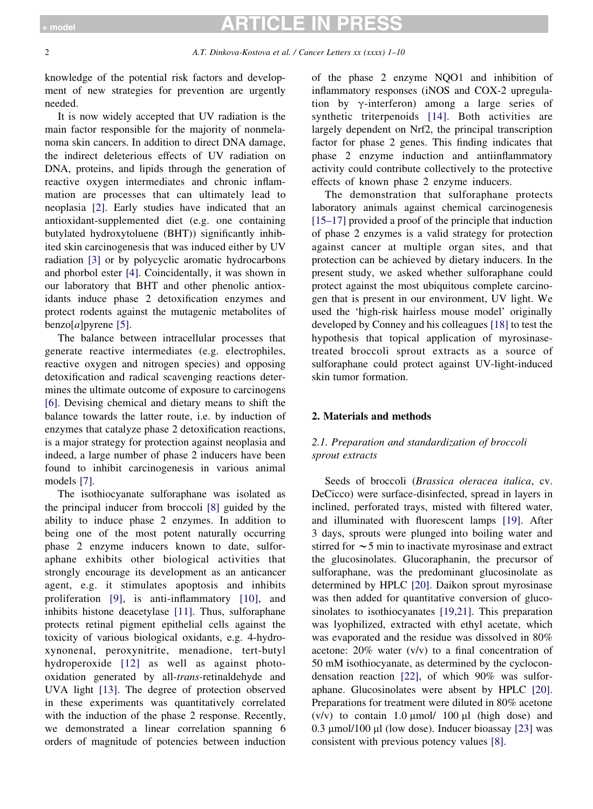# **TICLE IN PRE**

knowledge of the potential risk factors and development of new strategies for prevention are urgently needed.

It is now widely accepted that UV radiation is the main factor responsible for the majority of nonmelanoma skin cancers. In addition to direct DNA damage, the indirect deleterious effects of UV radiation on DNA, proteins, and lipids through the generation of reactive oxygen intermediates and chronic inflammation are processes that can ultimately lead to neoplasia [\[2\]](#page-8-0). Early studies have indicated that an antioxidant-supplemented diet (e.g. one containing butylated hydroxytoluene (BHT)) significantly inhibited skin carcinogenesis that was induced either by UV radiation [\[3\]](#page-8-0) or by polycyclic aromatic hydrocarbons and phorbol ester [\[4\]](#page-8-0). Coincidentally, it was shown in our laboratory that BHT and other phenolic antioxidants induce phase 2 detoxification enzymes and protect rodents against the mutagenic metabolites of  $benzo[a]$ pyrene [\[5\].](#page-8-0)

The balance between intracellular processes that generate reactive intermediates (e.g. electrophiles, reactive oxygen and nitrogen species) and opposing detoxification and radical scavenging reactions determines the ultimate outcome of exposure to carcinogens [\[6\].](#page-8-0) Devising chemical and dietary means to shift the balance towards the latter route, i.e. by induction of enzymes that catalyze phase 2 detoxification reactions, is a major strategy for protection against neoplasia and indeed, a large number of phase 2 inducers have been found to inhibit carcinogenesis in various animal models [\[7\].](#page-8-0)

The isothiocyanate sulforaphane was isolated as the principal inducer from broccoli [\[8\]](#page-8-0) guided by the ability to induce phase 2 enzymes. In addition to being one of the most potent naturally occurring phase 2 enzyme inducers known to date, sulforaphane exhibits other biological activities that strongly encourage its development as an anticancer agent, e.g. it stimulates apoptosis and inhibits proliferation [\[9\],](#page-8-0) is anti-inflammatory [\[10\]](#page-8-0), and inhibits histone deacetylase [\[11\].](#page-8-0) Thus, sulforaphane protects retinal pigment epithelial cells against the toxicity of various biological oxidants, e.g. 4-hydroxynonenal, peroxynitrite, menadione, tert-butyl hydroperoxide [\[12\]](#page-8-0) as well as against photooxidation generated by all-trans-retinaldehyde and UVA light [\[13\].](#page-8-0) The degree of protection observed in these experiments was quantitatively correlated with the induction of the phase 2 response. Recently, we demonstrated a linear correlation spanning 6 orders of magnitude of potencies between induction of the phase 2 enzyme NQO1 and inhibition of inflammatory responses (iNOS and COX-2 upregulation by  $\gamma$ -interferon) among a large series of synthetic triterpenoids [\[14\]](#page-8-0). Both activities are largely dependent on Nrf2, the principal transcription factor for phase 2 genes. This finding indicates that phase 2 enzyme induction and antiinflammatory activity could contribute collectively to the protective effects of known phase 2 enzyme inducers.

The demonstration that sulforaphane protects laboratory animals against chemical carcinogenesis [\[15–17\]](#page-8-0) provided a proof of the principle that induction of phase 2 enzymes is a valid strategy for protection against cancer at multiple organ sites, and that protection can be achieved by dietary inducers. In the present study, we asked whether sulforaphane could protect against the most ubiquitous complete carcinogen that is present in our environment, UV light. We used the 'high-risk hairless mouse model' originally developed by Conney and his colleagues [\[18\]](#page-8-0) to test the hypothesis that topical application of myrosinasetreated broccoli sprout extracts as a source of sulforaphane could protect against UV-light-induced skin tumor formation.

### 2. Materials and methods

### 2.1. Preparation and standardization of broccoli sprout extracts

Seeds of broccoli (Brassica oleracea italica, cv. DeCicco) were surface-disinfected, spread in layers in inclined, perforated trays, misted with filtered water, and illuminated with fluorescent lamps [\[19\].](#page-8-0) After 3 days, sprouts were plunged into boiling water and stirred for  $\sim$  5 min to inactivate myrosinase and extract the glucosinolates. Glucoraphanin, the precursor of sulforaphane, was the predominant glucosinolate as determined by HPLC [\[20\]](#page-8-0). Daikon sprout myrosinase was then added for quantitative conversion of glucosinolates to isothiocyanates [\[19,21\].](#page-8-0) This preparation was lyophilized, extracted with ethyl acetate, which was evaporated and the residue was dissolved in 80% acetone: 20% water (v/v) to a final concentration of 50 mM isothiocyanate, as determined by the cyclocondensation reaction [\[22\]](#page-8-0), of which 90% was sulforaphane. Glucosinolates were absent by HPLC [\[20\].](#page-8-0) Preparations for treatment were diluted in 80% acetone  $(v/v)$  to contain 1.0  $\mu$ mol/ 100  $\mu$ l (high dose) and 0.3  $\mu$ mol/100  $\mu$ l (low dose). Inducer bioassay [\[23\]](#page-8-0) was consistent with previous potency values [\[8\]](#page-8-0).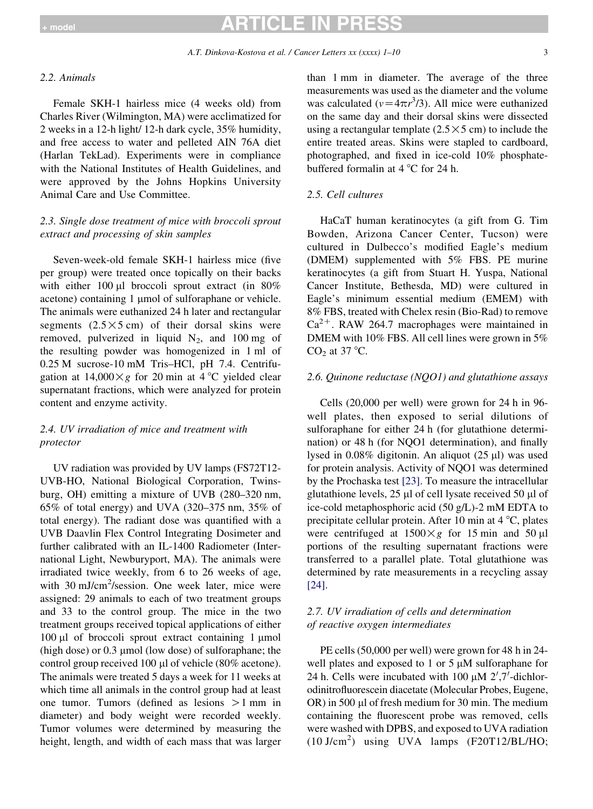# TICLE IN P

#### 2.2. Animals

Female SKH-1 hairless mice (4 weeks old) from Charles River (Wilmington, MA) were acclimatized for 2 weeks in a 12-h light/ 12-h dark cycle, 35% humidity, and free access to water and pelleted AIN 76A diet (Harlan TekLad). Experiments were in compliance with the National Institutes of Health Guidelines, and were approved by the Johns Hopkins University Animal Care and Use Committee.

### 2.3. Single dose treatment of mice with broccoli sprout extract and processing of skin samples

Seven-week-old female SKH-1 hairless mice (five per group) were treated once topically on their backs with either 100  $\mu$ l broccoli sprout extract (in 80%) acetone) containing 1 µmol of sulforaphane or vehicle. The animals were euthanized 24 h later and rectangular segments  $(2.5 \times 5 \text{ cm})$  of their dorsal skins were removed, pulverized in liquid  $N_2$ , and 100 mg of the resulting powder was homogenized in 1 ml of 0.25 M sucrose-10 mM Tris–HCl, pH 7.4. Centrifugation at  $14,000 \times g$  for 20 min at 4 °C yielded clear supernatant fractions, which were analyzed for protein content and enzyme activity.

### 2.4. UV irradiation of mice and treatment with protector

UV radiation was provided by UV lamps (FS72T12- UVB-HO, National Biological Corporation, Twinsburg, OH) emitting a mixture of UVB (280–320 nm, 65% of total energy) and UVA (320–375 nm, 35% of total energy). The radiant dose was quantified with a UVB Daavlin Flex Control Integrating Dosimeter and further calibrated with an IL-1400 Radiometer (International Light, Newburyport, MA). The animals were irradiated twice weekly, from 6 to 26 weeks of age, with 30 mJ/cm<sup>2</sup>/session. One week later, mice were assigned: 29 animals to each of two treatment groups and 33 to the control group. The mice in the two treatment groups received topical applications of either  $100 \mu l$  of broccoli sprout extract containing 1  $\mu$ mol (high dose) or  $0.3 \mu$ mol (low dose) of sulforaphane; the control group received 100 µl of vehicle (80% acetone). The animals were treated 5 days a week for 11 weeks at which time all animals in the control group had at least one tumor. Tumors (defined as lesions  $>1$  mm in diameter) and body weight were recorded weekly. Tumor volumes were determined by measuring the height, length, and width of each mass that was larger than 1 mm in diameter. The average of the three measurements was used as the diameter and the volume was calculated ( $v = 4\pi r^3/3$ ). All mice were euthanized on the same day and their dorsal skins were dissected using a rectangular template  $(2.5 \times 5 \text{ cm})$  to include the entire treated areas. Skins were stapled to cardboard, photographed, and fixed in ice-cold 10% phosphatebuffered formalin at  $4^{\circ}$ C for 24 h.

### 2.5. Cell cultures

HaCaT human keratinocytes (a gift from G. Tim Bowden, Arizona Cancer Center, Tucson) were cultured in Dulbecco's modified Eagle's medium (DMEM) supplemented with 5% FBS. PE murine keratinocytes (a gift from Stuart H. Yuspa, National Cancer Institute, Bethesda, MD) were cultured in Eagle's minimum essential medium (EMEM) with 8% FBS, treated with Chelex resin (Bio-Rad) to remove  $Ca^{2+}$ . RAW 264.7 macrophages were maintained in DMEM with 10% FBS. All cell lines were grown in 5%  $CO<sub>2</sub>$  at 37 °C.

#### 2.6. Quinone reductase ( $NQO1$ ) and glutathione assays

Cells (20,000 per well) were grown for 24 h in 96 well plates, then exposed to serial dilutions of sulforaphane for either 24 h (for glutathione determination) or 48 h (for NQO1 determination), and finally lysed in  $0.08\%$  digitonin. An aliquot (25  $\mu$ l) was used for protein analysis. Activity of NQO1 was determined by the Prochaska test [\[23\].](#page-8-0) To measure the intracellular glutathione levels,  $25 \mu l$  of cell lysate received  $50 \mu l$  of ice-cold metaphosphoric acid (50 g/L)-2 mM EDTA to precipitate cellular protein. After 10 min at  $4^{\circ}C$ , plates were centrifuged at  $1500 \times g$  for 15 min and 50 µl portions of the resulting supernatant fractions were transferred to a parallel plate. Total glutathione was determined by rate measurements in a recycling assay [\[24\].](#page-8-0)

### 2.7. UV irradiation of cells and determination of reactive oxygen intermediates

PE cells (50,000 per well) were grown for 48 h in 24 well plates and exposed to 1 or 5  $\mu$ M sulforaphane for 24 h. Cells were incubated with 100  $\mu$ M 2',7'-dichlorodinitrofluorescein diacetate (Molecular Probes, Eugene, OR) in 500 µl of fresh medium for 30 min. The medium containing the fluorescent probe was removed, cells were washed with DPBS, and exposed to UVA radiation (10 J/cm<sup>2</sup> ) using UVA lamps (F20T12/BL/HO;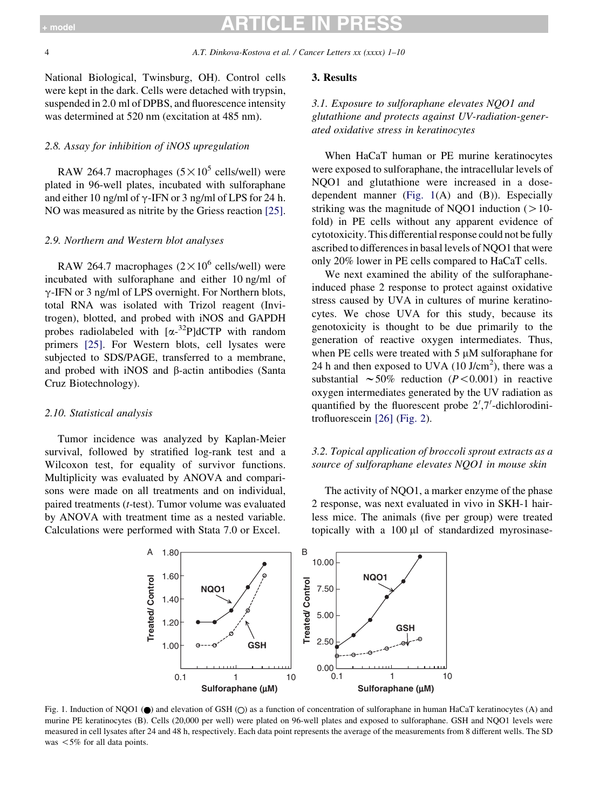National Biological, Twinsburg, OH). Control cells were kept in the dark. Cells were detached with trypsin, suspended in 2.0 ml of DPBS, and fluorescence intensity was determined at 520 nm (excitation at 485 nm).

### 2.8. Assay for inhibition of iNOS upregulation

RAW 264.7 macrophages  $(5 \times 10^5 \text{ cells/well})$  were plated in 96-well plates, incubated with sulforaphane and either 10 ng/ml of  $\gamma$ -IFN or 3 ng/ml of LPS for 24 h. NO was measured as nitrite by the Griess reaction [\[25\].](#page-8-0)

### 2.9. Northern and Western blot analyses

RAW 264.7 macrophages  $(2 \times 10^6 \text{ cells/well})$  were incubated with sulforaphane and either 10 ng/ml of  $\gamma$ -IFN or 3 ng/ml of LPS overnight. For Northern blots, total RNA was isolated with Trizol reagent (Invitrogen), blotted, and probed with iNOS and GAPDH probes radiolabeled with  $[\alpha^{-32}P]$ dCTP with random primers [\[25\]](#page-8-0). For Western blots, cell lysates were subjected to SDS/PAGE, transferred to a membrane, and probed with iNOS and  $\beta$ -actin antibodies (Santa Cruz Biotechnology).

#### 2.10. Statistical analysis

Tumor incidence was analyzed by Kaplan-Meier survival, followed by stratified log-rank test and a Wilcoxon test, for equality of survivor functions. Multiplicity was evaluated by ANOVA and comparisons were made on all treatments and on individual, paired treatments (t-test). Tumor volume was evaluated by ANOVA with treatment time as a nested variable. Calculations were performed with Stata 7.0 or Excel.

#### 3. Results

### 3.1. Exposure to sulforaphane elevates NQO1 and glutathione and protects against UV-radiation-generated oxidative stress in keratinocytes

When HaCaT human or PE murine keratinocytes were exposed to sulforaphane, the intracellular levels of NQO1 and glutathione were increased in a dosedependent manner (Fig. 1(A) and (B)). Especially striking was the magnitude of NQO1 induction  $(10$ fold) in PE cells without any apparent evidence of cytotoxicity. This differential response could not be fully ascribed to differences in basal levels of NQO1 that were only 20% lower in PE cells compared to HaCaT cells.

We next examined the ability of the sulforaphaneinduced phase 2 response to protect against oxidative stress caused by UVA in cultures of murine keratinocytes. We chose UVA for this study, because its genotoxicity is thought to be due primarily to the generation of reactive oxygen intermediates. Thus, when PE cells were treated with  $5 \mu M$  sulforaphane for 24 h and then exposed to UVA  $(10 \text{ J/cm}^2)$ , there was a substantial  $\sim 50\%$  reduction (P < 0.001) in reactive oxygen intermediates generated by the UV radiation as quantified by the fluorescent probe  $2^{\prime}$ ,7'-dichlorodinitrofluorescein [\[26\]](#page-8-0) [\(Fig. 2\)](#page-4-0).

### 3.2. Topical application of broccoli sprout extracts as a source of sulforaphane elevates NQO1 in mouse skin

The activity of NQO1, a marker enzyme of the phase 2 response, was next evaluated in vivo in SKH-1 hairless mice. The animals (five per group) were treated topically with a  $100 \mu l$  of standardized myrosinase-



Fig. 1. Induction of NQO1 ( $\bullet$ ) and elevation of GSH ( $\circ$ ) as a function of concentration of sulforaphane in human HaCaT keratinocytes (A) and murine PE keratinocytes (B). Cells (20,000 per well) were plated on 96-well plates and exposed to sulforaphane. GSH and NQO1 levels were measured in cell lysates after 24 and 48 h, respectively. Each data point represents the average of the measurements from 8 different wells. The SD was  $<5\%$  for all data points.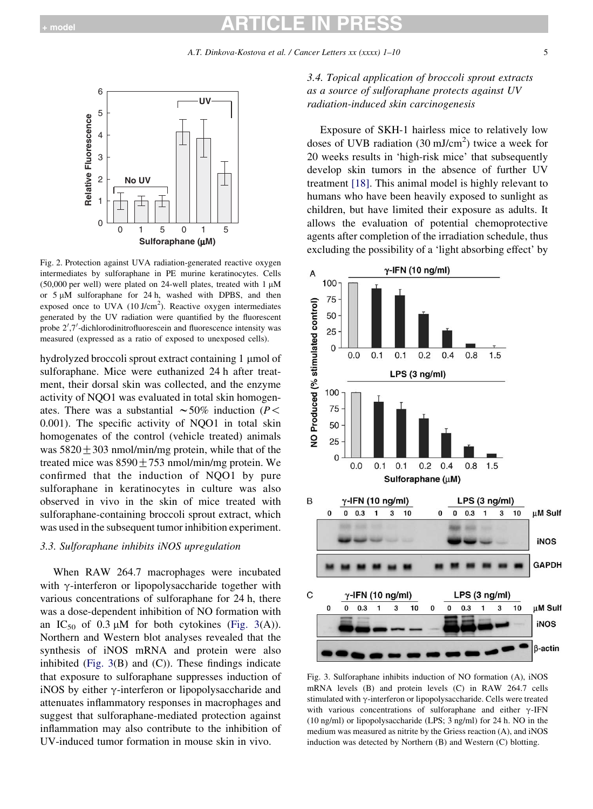<span id="page-4-0"></span>

Fig. 2. Protection against UVA radiation-generated reactive oxygen intermediates by sulforaphane in PE murine keratinocytes. Cells (50,000 per well) were plated on 24-well plates, treated with  $1 \mu M$ or  $5 \mu M$  sulforaphane for 24 h, washed with DPBS, and then exposed once to UVA  $(10 \text{ J/cm}^2)$ . Reactive oxygen intermediates generated by the UV radiation were quantified by the fluorescent probe 2',7'-dichlorodinitrofluorescein and fluorescence intensity was measured (expressed as a ratio of exposed to unexposed cells).

hydrolyzed broccoli sprout extract containing 1 µmol of sulforaphane. Mice were euthanized 24 h after treatment, their dorsal skin was collected, and the enzyme activity of NQO1 was evaluated in total skin homogenates. There was a substantial  $\sim$  50% induction (P < 0.001). The specific activity of NQO1 in total skin homogenates of the control (vehicle treated) animals was  $5820 \pm 303$  nmol/min/mg protein, while that of the treated mice was  $8590 \pm 753$  nmol/min/mg protein. We confirmed that the induction of NQO1 by pure sulforaphane in keratinocytes in culture was also observed in vivo in the skin of mice treated with sulforaphane-containing broccoli sprout extract, which was used in the subsequent tumor inhibition experiment.

### 3.3. Sulforaphane inhibits iNOS upregulation

When RAW 264.7 macrophages were incubated with  $\gamma$ -interferon or lipopolysaccharide together with various concentrations of sulforaphane for 24 h, there was a dose-dependent inhibition of NO formation with an  $IC_{50}$  of 0.3  $\mu$ M for both cytokines (Fig. 3(A)). Northern and Western blot analyses revealed that the synthesis of iNOS mRNA and protein were also inhibited (Fig.  $3(B)$  and (C)). These findings indicate that exposure to sulforaphane suppresses induction of iNOS by either  $\gamma$ -interferon or lipopolysaccharide and attenuates inflammatory responses in macrophages and suggest that sulforaphane-mediated protection against inflammation may also contribute to the inhibition of UV-induced tumor formation in mouse skin in vivo.

3.4. Topical application of broccoli sprout extracts as a source of sulforaphane protects against UV radiation-induced skin carcinogenesis

Exposure of SKH-1 hairless mice to relatively low doses of UVB radiation  $(30 \text{ mJ/cm}^2)$  twice a week for 20 weeks results in 'high-risk mice' that subsequently develop skin tumors in the absence of further UV treatment [\[18\]](#page-8-0). This animal model is highly relevant to humans who have been heavily exposed to sunlight as children, but have limited their exposure as adults. It allows the evaluation of potential chemoprotective agents after completion of the irradiation schedule, thus excluding the possibility of a 'light absorbing effect' by



Fig. 3. Sulforaphane inhibits induction of NO formation (A), iNOS mRNA levels (B) and protein levels (C) in RAW 264.7 cells stimulated with  $\gamma$ -interferon or lipopolysaccharide. Cells were treated with various concentrations of sulforaphane and either  $\gamma$ -IFN (10 ng/ml) or lipopolysaccharide (LPS; 3 ng/ml) for 24 h. NO in the medium was measured as nitrite by the Griess reaction (A), and iNOS induction was detected by Northern (B) and Western (C) blotting.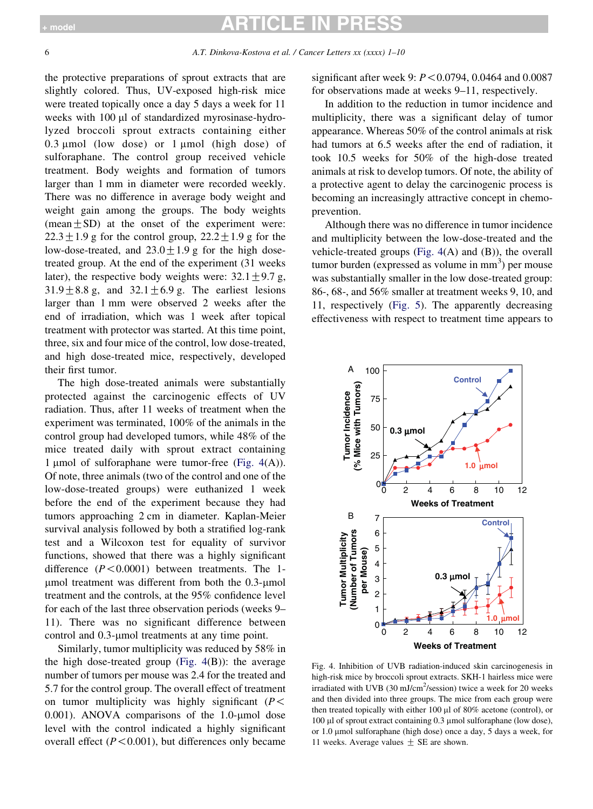the protective preparations of sprout extracts that are slightly colored. Thus, UV-exposed high-risk mice were treated topically once a day 5 days a week for 11 weeks with 100 µl of standardized myrosinase-hydrolyzed broccoli sprout extracts containing either  $0.3 \mu$ mol (low dose) or 1  $\mu$ mol (high dose) of sulforaphane. The control group received vehicle treatment. Body weights and formation of tumors larger than 1 mm in diameter were recorded weekly. There was no difference in average body weight and weight gain among the groups. The body weights (mean $\pm$ SD) at the onset of the experiment were:  $22.3 \pm 1.9$  g for the control group,  $22.2 \pm 1.9$  g for the low-dose-treated, and  $23.0 \pm 1.9$  g for the high dosetreated group. At the end of the experiment (31 weeks later), the respective body weights were:  $32.1 \pm 9.7$  g,  $31.9 \pm 8.8$  g, and  $32.1 \pm 6.9$  g. The earliest lesions larger than 1 mm were observed 2 weeks after the end of irradiation, which was 1 week after topical treatment with protector was started. At this time point, three, six and four mice of the control, low dose-treated, and high dose-treated mice, respectively, developed their first tumor.

The high dose-treated animals were substantially protected against the carcinogenic effects of UV radiation. Thus, after 11 weeks of treatment when the experiment was terminated, 100% of the animals in the control group had developed tumors, while 48% of the mice treated daily with sprout extract containing 1 µmol of sulforaphane were tumor-free (Fig.  $4(A)$ ). Of note, three animals (two of the control and one of the low-dose-treated groups) were euthanized 1 week before the end of the experiment because they had tumors approaching 2 cm in diameter. Kaplan-Meier survival analysis followed by both a stratified log-rank test and a Wilcoxon test for equality of survivor functions, showed that there was a highly significant difference  $(P<0.0001)$  between treatments. The 1- $\mu$ mol treatment was different from both the 0.3- $\mu$ mol treatment and the controls, at the 95% confidence level for each of the last three observation periods (weeks 9– 11). There was no significant difference between control and 0.3-umol treatments at any time point.

Similarly, tumor multiplicity was reduced by 58% in the high dose-treated group (Fig.  $4(B)$ ): the average number of tumors per mouse was 2.4 for the treated and 5.7 for the control group. The overall effect of treatment on tumor multiplicity was highly significant ( $P$  < 0.001). ANOVA comparisons of the 1.0- $\mu$ mol dose level with the control indicated a highly significant overall effect  $(P < 0.001)$ , but differences only became significant after week 9:  $P < 0.0794$ , 0.0464 and 0.0087 for observations made at weeks 9–11, respectively.

In addition to the reduction in tumor incidence and multiplicity, there was a significant delay of tumor appearance. Whereas 50% of the control animals at risk had tumors at 6.5 weeks after the end of radiation, it took 10.5 weeks for 50% of the high-dose treated animals at risk to develop tumors. Of note, the ability of a protective agent to delay the carcinogenic process is becoming an increasingly attractive concept in chemoprevention.

Although there was no difference in tumor incidence and multiplicity between the low-dose-treated and the vehicle-treated groups (Fig. 4(A) and (B)), the overall tumor burden (expressed as volume in  $mm<sup>3</sup>$ ) per mouse was substantially smaller in the low dose-treated group: 86-, 68-, and 56% smaller at treatment weeks 9, 10, and 11, respectively [\(Fig. 5](#page-6-0)). The apparently decreasing effectiveness with respect to treatment time appears to



Fig. 4. Inhibition of UVB radiation-induced skin carcinogenesis in high-risk mice by broccoli sprout extracts. SKH-1 hairless mice were irradiated with UVB (30 mJ/cm<sup>2</sup>/session) twice a week for 20 weeks and then divided into three groups. The mice from each group were then treated topically with either  $100 \mu$  of  $80\%$  acetone (control), or 100 µl of sprout extract containing 0.3 µmol sulforaphane (low dose), or 1.0 mmol sulforaphane (high dose) once a day, 5 days a week, for 11 weeks. Average values  $\pm$  SE are shown.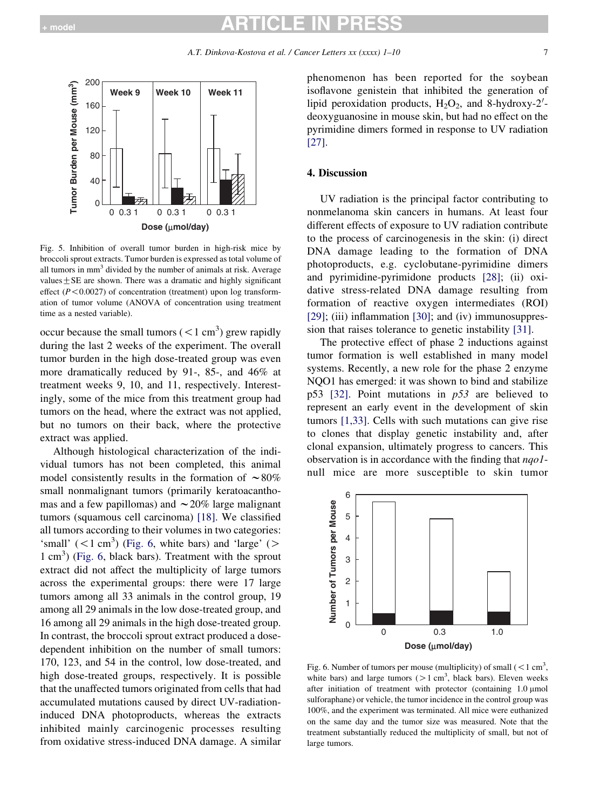<span id="page-6-0"></span>

Fig. 5. Inhibition of overall tumor burden in high-risk mice by broccoli sprout extracts. Tumor burden is expressed as total volume of all tumors in mm<sup>3</sup> divided by the number of animals at risk. Average values $\pm$ SE are shown. There was a dramatic and highly significant effect ( $P$ <0.0027) of concentration (treatment) upon log transformation of tumor volume (ANOVA of concentration using treatment time as a nested variable).

occur because the small tumors  $(< 1 \text{ cm}^3)$  grew rapidly during the last 2 weeks of the experiment. The overall tumor burden in the high dose-treated group was even more dramatically reduced by 91-, 85-, and 46% at treatment weeks 9, 10, and 11, respectively. Interestingly, some of the mice from this treatment group had tumors on the head, where the extract was not applied, but no tumors on their back, where the protective extract was applied.

Although histological characterization of the individual tumors has not been completed, this animal model consistently results in the formation of  $\sim 80\%$ small nonmalignant tumors (primarily keratoacanthomas and a few papillomas) and  $\sim$  20% large malignant tumors (squamous cell carcinoma) [\[18\].](#page-8-0) We classified all tumors according to their volumes in two categories: 'small'  $(< 1 \text{ cm}^3)$  (Fig. 6, white bars) and 'large' (> 1 cm<sup>3</sup>) (Fig. 6, black bars). Treatment with the sprout extract did not affect the multiplicity of large tumors across the experimental groups: there were 17 large tumors among all 33 animals in the control group, 19 among all 29 animals in the low dose-treated group, and 16 among all 29 animals in the high dose-treated group. In contrast, the broccoli sprout extract produced a dosedependent inhibition on the number of small tumors: 170, 123, and 54 in the control, low dose-treated, and high dose-treated groups, respectively. It is possible that the unaffected tumors originated from cells that had accumulated mutations caused by direct UV-radiationinduced DNA photoproducts, whereas the extracts inhibited mainly carcinogenic processes resulting from oxidative stress-induced DNA damage. A similar

phenomenon has been reported for the soybean isoflavone genistein that inhibited the generation of lipid peroxidation products,  $H_2O_2$ , and 8-hydroxy-2'deoxyguanosine in mouse skin, but had no effect on the pyrimidine dimers formed in response to UV radiation [\[27\].](#page-8-0)

#### 4. Discussion

UV radiation is the principal factor contributing to nonmelanoma skin cancers in humans. At least four different effects of exposure to UV radiation contribute to the process of carcinogenesis in the skin: (i) direct DNA damage leading to the formation of DNA photoproducts, e.g. cyclobutane-pyrimidine dimers and pyrimidine-pyrimidone products [\[28\]](#page-8-0); (ii) oxidative stress-related DNA damage resulting from formation of reactive oxygen intermediates (ROI) [\[29\];](#page-8-0) (iii) inflammation [\[30\]](#page-8-0); and (iv) immunosuppression that raises tolerance to genetic instability [\[31\].](#page-8-0)

The protective effect of phase 2 inductions against tumor formation is well established in many model systems. Recently, a new role for the phase 2 enzyme NQO1 has emerged: it was shown to bind and stabilize p53 [\[32\].](#page-8-0) Point mutations in  $p53$  are believed to represent an early event in the development of skin tumors [\[1,33\].](#page-8-0) Cells with such mutations can give rise to clones that display genetic instability and, after clonal expansion, ultimately progress to cancers. This observation is in accordance with the finding that *nqo1*null mice are more susceptible to skin tumor



Fig. 6. Number of tumors per mouse (multiplicity) of small  $(< 1 \text{ cm}^3,$ white bars) and large tumors  $(1 cm<sup>3</sup>, black bars)$ . Eleven weeks after initiation of treatment with protector (containing  $1.0 \mu$ mol sulforaphane) or vehicle, the tumor incidence in the control group was 100%, and the experiment was terminated. All mice were euthanized on the same day and the tumor size was measured. Note that the treatment substantially reduced the multiplicity of small, but not of large tumors.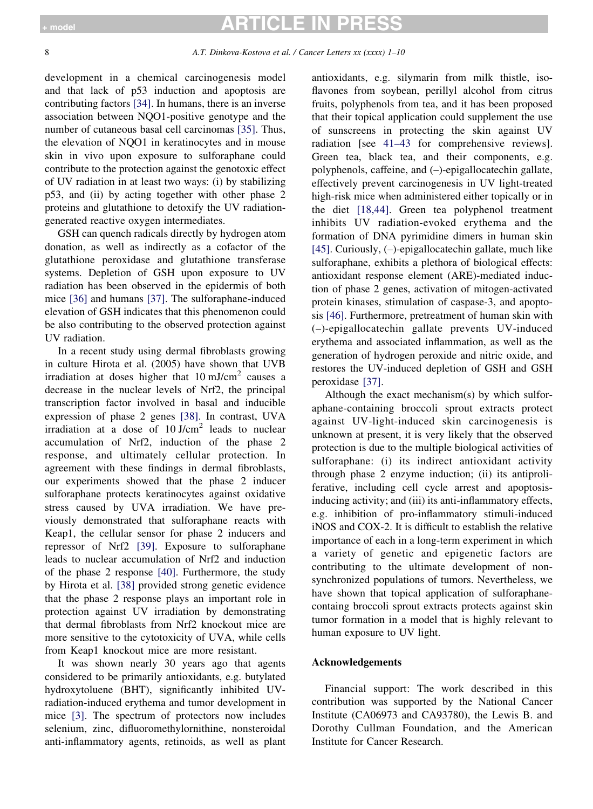# rici F in PRI

development in a chemical carcinogenesis model and that lack of p53 induction and apoptosis are contributing factors [\[34\].](#page-9-0) In humans, there is an inverse association between NQO1-positive genotype and the number of cutaneous basal cell carcinomas [\[35\].](#page-9-0) Thus, the elevation of NQO1 in keratinocytes and in mouse skin in vivo upon exposure to sulforaphane could contribute to the protection against the genotoxic effect of UV radiation in at least two ways: (i) by stabilizing p53, and (ii) by acting together with other phase 2 proteins and glutathione to detoxify the UV radiationgenerated reactive oxygen intermediates.

GSH can quench radicals directly by hydrogen atom donation, as well as indirectly as a cofactor of the glutathione peroxidase and glutathione transferase systems. Depletion of GSH upon exposure to UV radiation has been observed in the epidermis of both mice [\[36\]](#page-9-0) and humans [\[37\].](#page-9-0) The sulforaphane-induced elevation of GSH indicates that this phenomenon could be also contributing to the observed protection against UV radiation.

In a recent study using dermal fibroblasts growing in culture Hirota et al. (2005) have shown that UVB irradiation at doses higher that  $10 \text{ mJ/cm}^2$  causes a decrease in the nuclear levels of Nrf2, the principal transcription factor involved in basal and inducible expression of phase 2 genes [\[38\]](#page-9-0). In contrast, UVA irradiation at a dose of  $10$  J/cm<sup>2</sup> leads to nuclear accumulation of Nrf2, induction of the phase 2 response, and ultimately cellular protection. In agreement with these findings in dermal fibroblasts, our experiments showed that the phase 2 inducer sulforaphane protects keratinocytes against oxidative stress caused by UVA irradiation. We have previously demonstrated that sulforaphane reacts with Keap1, the cellular sensor for phase 2 inducers and repressor of Nrf2 [\[39\]](#page-9-0). Exposure to sulforaphane leads to nuclear accumulation of Nrf2 and induction of the phase 2 response [\[40\]](#page-9-0). Furthermore, the study by Hirota et al. [\[38\]](#page-9-0) provided strong genetic evidence that the phase 2 response plays an important role in protection against UV irradiation by demonstrating that dermal fibroblasts from Nrf2 knockout mice are more sensitive to the cytotoxicity of UVA, while cells from Keap1 knockout mice are more resistant.

It was shown nearly 30 years ago that agents considered to be primarily antioxidants, e.g. butylated hydroxytoluene (BHT), significantly inhibited UVradiation-induced erythema and tumor development in mice [\[3\].](#page-8-0) The spectrum of protectors now includes selenium, zinc, difluoromethylornithine, nonsteroidal anti-inflammatory agents, retinoids, as well as plant antioxidants, e.g. silymarin from milk thistle, isoflavones from soybean, perillyl alcohol from citrus fruits, polyphenols from tea, and it has been proposed that their topical application could supplement the use of sunscreens in protecting the skin against UV radiation [see [41–43](#page-9-0) for comprehensive reviews]. Green tea, black tea, and their components, e.g. polyphenols, caffeine, and (–)-epigallocatechin gallate, effectively prevent carcinogenesis in UV light-treated high-risk mice when administered either topically or in the diet [\[18,44\]](#page-8-0). Green tea polyphenol treatment inhibits UV radiation-evoked erythema and the formation of DNA pyrimidine dimers in human skin [\[45\].](#page-9-0) Curiously, (–)-epigallocatechin gallate, much like sulforaphane, exhibits a plethora of biological effects: antioxidant response element (ARE)-mediated induction of phase 2 genes, activation of mitogen-activated protein kinases, stimulation of caspase-3, and apoptosis [\[46\]](#page-9-0). Furthermore, pretreatment of human skin with (–)-epigallocatechin gallate prevents UV-induced erythema and associated inflammation, as well as the generation of hydrogen peroxide and nitric oxide, and restores the UV-induced depletion of GSH and GSH peroxidase [\[37\].](#page-9-0)

Although the exact mechanism(s) by which sulforaphane-containing broccoli sprout extracts protect against UV-light-induced skin carcinogenesis is unknown at present, it is very likely that the observed protection is due to the multiple biological activities of sulforaphane: (i) its indirect antioxidant activity through phase 2 enzyme induction; (ii) its antiproliferative, including cell cycle arrest and apoptosisinducing activity; and (iii) its anti-inflammatory effects, e.g. inhibition of pro-inflammatory stimuli-induced iNOS and COX-2. It is difficult to establish the relative importance of each in a long-term experiment in which a variety of genetic and epigenetic factors are contributing to the ultimate development of nonsynchronized populations of tumors. Nevertheless, we have shown that topical application of sulforaphanecontaing broccoli sprout extracts protects against skin tumor formation in a model that is highly relevant to human exposure to UV light.

### Acknowledgements

Financial support: The work described in this contribution was supported by the National Cancer Institute (CA06973 and CA93780), the Lewis B. and Dorothy Cullman Foundation, and the American Institute for Cancer Research.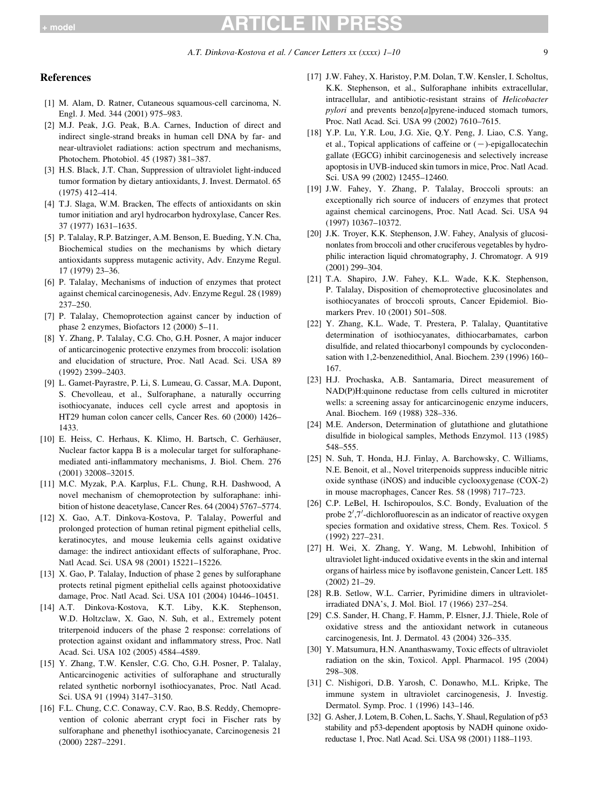# <span id="page-8-0"></span> $_{\sf model}$   $\blacksquare$   $\blacksquare$   $\blacksquare$   $\blacksquare$   $\blacksquare$   $\blacksquare$   $\blacksquare$   $\blacksquare$   $\blacksquare$   $\blacksquare$   $\blacksquare$   $\blacksquare$   $\blacksquare$   $\blacksquare$   $\blacksquare$   $\blacksquare$   $\blacksquare$   $\blacksquare$   $\blacksquare$   $\blacksquare$   $\blacksquare$   $\blacksquare$   $\blacksquare$   $\blacksquare$   $\blacksquare$   $\blacksquare$   $\blacksquare$   $\blacksquare$   $\blacksquare$   $\blacksquare$   $\bl$

#### References

- [1] M. Alam, D. Ratner, Cutaneous squamous-cell carcinoma, N. Engl. J. Med. 344 (2001) 975–983.
- [2] M.J. Peak, J.G. Peak, B.A. Carnes, Induction of direct and indirect single-strand breaks in human cell DNA by far- and near-ultraviolet radiations: action spectrum and mechanisms, Photochem. Photobiol. 45 (1987) 381–387.
- [3] H.S. Black, J.T. Chan, Suppression of ultraviolet light-induced tumor formation by dietary antioxidants, J. Invest. Dermatol. 65 (1975) 412–414.
- [4] T.J. Slaga, W.M. Bracken, The effects of antioxidants on skin tumor initiation and aryl hydrocarbon hydroxylase, Cancer Res. 37 (1977) 1631–1635.
- [5] P. Talalay, R.P. Batzinger, A.M. Benson, E. Bueding, Y.N. Cha, Biochemical studies on the mechanisms by which dietary antioxidants suppress mutagenic activity, Adv. Enzyme Regul. 17 (1979) 23–36.
- [6] P. Talalay, Mechanisms of induction of enzymes that protect against chemical carcinogenesis, Adv. Enzyme Regul. 28 (1989) 237–250.
- [7] P. Talalay, Chemoprotection against cancer by induction of phase 2 enzymes, Biofactors 12 (2000) 5–11.
- [8] Y. Zhang, P. Talalay, C.G. Cho, G.H. Posner, A major inducer of anticarcinogenic protective enzymes from broccoli: isolation and elucidation of structure, Proc. Natl Acad. Sci. USA 89 (1992) 2399–2403.
- [9] L. Gamet-Payrastre, P. Li, S. Lumeau, G. Cassar, M.A. Dupont, S. Chevolleau, et al., Sulforaphane, a naturally occurring isothiocyanate, induces cell cycle arrest and apoptosis in HT29 human colon cancer cells, Cancer Res. 60 (2000) 1426– 1433.
- [10] E. Heiss, C. Herhaus, K. Klimo, H. Bartsch, C. Gerhäuser, Nuclear factor kappa B is a molecular target for sulforaphanemediated anti-inflammatory mechanisms, J. Biol. Chem. 276 (2001) 32008–32015.
- [11] M.C. Myzak, P.A. Karplus, F.L. Chung, R.H. Dashwood, A novel mechanism of chemoprotection by sulforaphane: inhibition of histone deacetylase, Cancer Res. 64 (2004) 5767–5774.
- [12] X. Gao, A.T. Dinkova-Kostova, P. Talalay, Powerful and prolonged protection of human retinal pigment epithelial cells, keratinocytes, and mouse leukemia cells against oxidative damage: the indirect antioxidant effects of sulforaphane, Proc. Natl Acad. Sci. USA 98 (2001) 15221–15226.
- [13] X. Gao, P. Talalay, Induction of phase 2 genes by sulforaphane protects retinal pigment epithelial cells against photooxidative damage, Proc. Natl Acad. Sci. USA 101 (2004) 10446–10451.
- [14] A.T. Dinkova-Kostova, K.T. Liby, K.K. Stephenson, W.D. Holtzclaw, X. Gao, N. Suh, et al., Extremely potent triterpenoid inducers of the phase 2 response: correlations of protection against oxidant and inflammatory stress, Proc. Natl Acad. Sci. USA 102 (2005) 4584–4589.
- [15] Y. Zhang, T.W. Kensler, C.G. Cho, G.H. Posner, P. Talalay, Anticarcinogenic activities of sulforaphane and structurally related synthetic norbornyl isothiocyanates, Proc. Natl Acad. Sci. USA 91 (1994) 3147–3150.
- [16] F.L. Chung, C.C. Conaway, C.V. Rao, B.S. Reddy, Chemoprevention of colonic aberrant crypt foci in Fischer rats by sulforaphane and phenethyl isothiocyanate, Carcinogenesis 21 (2000) 2287–2291.
- [17] J.W. Fahey, X. Haristoy, P.M. Dolan, T.W. Kensler, I. Scholtus, K.K. Stephenson, et al., Sulforaphane inhibits extracellular, intracellular, and antibiotic-resistant strains of Helicobacter pylori and prevents benzo[a]pyrene-induced stomach tumors, Proc. Natl Acad. Sci. USA 99 (2002) 7610–7615.
- [18] Y.P. Lu, Y.R. Lou, J.G. Xie, Q.Y. Peng, J. Liao, C.S. Yang, et al., Topical applications of caffeine or  $(-)$ -epigallocatechin gallate (EGCG) inhibit carcinogenesis and selectively increase apoptosis in UVB-induced skin tumors in mice, Proc. Natl Acad. Sci. USA 99 (2002) 12455–12460.
- [19] J.W. Fahey, Y. Zhang, P. Talalay, Broccoli sprouts: an exceptionally rich source of inducers of enzymes that protect against chemical carcinogens, Proc. Natl Acad. Sci. USA 94 (1997) 10367–10372.
- [20] J.K. Troyer, K.K. Stephenson, J.W. Fahey, Analysis of glucosinonlates from broccoli and other cruciferous vegetables by hydrophilic interaction liquid chromatography, J. Chromatogr. A 919 (2001) 299–304.
- [21] T.A. Shapiro, J.W. Fahey, K.L. Wade, K.K. Stephenson, P. Talalay, Disposition of chemoprotective glucosinolates and isothiocyanates of broccoli sprouts, Cancer Epidemiol. Biomarkers Prev. 10 (2001) 501–508.
- [22] Y. Zhang, K.L. Wade, T. Prestera, P. Talalay, Quantitative determination of isothiocyanates, dithiocarbamates, carbon disulfide, and related thiocarbonyl compounds by cyclocondensation with 1,2-benzenedithiol, Anal. Biochem. 239 (1996) 160– 167.
- [23] H.J. Prochaska, A.B. Santamaria, Direct measurement of NAD(P)H:quinone reductase from cells cultured in microtiter wells: a screening assay for anticarcinogenic enzyme inducers, Anal. Biochem. 169 (1988) 328–336.
- [24] M.E. Anderson, Determination of glutathione and glutathione disulfide in biological samples, Methods Enzymol. 113 (1985) 548–555.
- [25] N. Suh, T. Honda, H.J. Finlay, A. Barchowsky, C. Williams, N.E. Benoit, et al., Novel triterpenoids suppress inducible nitric oxide synthase (iNOS) and inducible cyclooxygenase (COX-2) in mouse macrophages, Cancer Res. 58 (1998) 717–723.
- [26] C.P. LeBel, H. Ischiropoulos, S.C. Bondy, Evaluation of the probe  $2^{\prime}$ ,7'-dichlorofluorescin as an indicator of reactive oxygen species formation and oxidative stress, Chem. Res. Toxicol. 5 (1992) 227–231.
- [27] H. Wei, X. Zhang, Y. Wang, M. Lebwohl, Inhibition of ultraviolet light-induced oxidative events in the skin and internal organs of hairless mice by isoflavone genistein, Cancer Lett. 185 (2002) 21–29.
- [28] R.B. Setlow, W.L. Carrier, Pyrimidine dimers in ultravioletirradiated DNA's, J. Mol. Biol. 17 (1966) 237–254.
- [29] C.S. Sander, H. Chang, F. Hamm, P. Elsner, J.J. Thiele, Role of oxidative stress and the antioxidant network in cutaneous carcinogenesis, Int. J. Dermatol. 43 (2004) 326–335.
- [30] Y. Matsumura, H.N. Ananthaswamy, Toxic effects of ultraviolet radiation on the skin, Toxicol. Appl. Pharmacol. 195 (2004) 298–308.
- [31] C. Nishigori, D.B. Yarosh, C. Donawho, M.L. Kripke, The immune system in ultraviolet carcinogenesis, J. Investig. Dermatol. Symp. Proc. 1 (1996) 143–146.
- [32] G. Asher, J. Lotem, B. Cohen, L. Sachs, Y. Shaul, Regulation of p53 stability and p53-dependent apoptosis by NADH quinone oxidoreductase 1, Proc. Natl Acad. Sci. USA 98 (2001) 1188–1193.